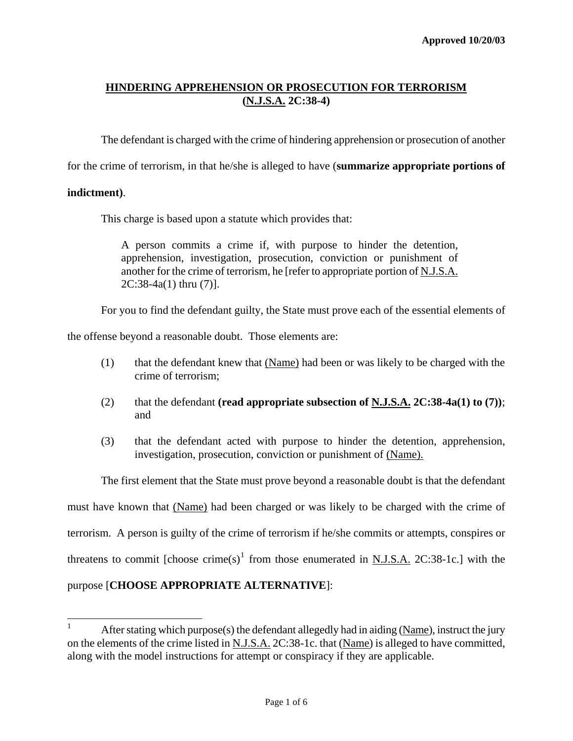The defendant is charged with the crime of hindering apprehension or prosecution of another

for the crime of terrorism, in that he/she is alleged to have (**summarize appropriate portions of** 

### **indictment)**.

This charge is based upon a statute which provides that:

A person commits a crime if, with purpose to hinder the detention, apprehension, investigation, prosecution, conviction or punishment of another for the crime of terrorism, he [refer to appropriate portion of N.J.S.A. 2C:38-4a(1) thru (7)].

For you to find the defendant guilty, the State must prove each of the essential elements of

the offense beyond a reasonable doubt. Those elements are:

- (1) that the defendant knew that (Name) had been or was likely to be charged with the crime of terrorism;
- (2) that the defendant **(read appropriate subsection of N.J.S.A. 2C:38-4a(1) to (7))**; and
- (3) that the defendant acted with purpose to hinder the detention, apprehension, investigation, prosecution, conviction or punishment of (Name).

<span id="page-0-1"></span>The first element that the State must prove beyond a reasonable doubt is that the defendant must have known that (Name) had been charged or was likely to be charged with the crime of terrorism. A person is guilty of the crime of terrorism if he/she commits or attempts, conspires or threatens to commit [choose crime(s)<sup>[1](#page-0-0)</sup> from those enumerated in <u>N.J.S.A.</u> 2C:38-1c.] with the purpose [**CHOOSE APPROPRIATE ALTERNATIVE**]:

<span id="page-0-0"></span><sup>|&</sup>lt;br>|<br>| After stating which purpose(s) the defendant allegedly had in aiding (Name), instruct the jury on the elements of the crime listed in N.J.S.A. 2C:38-1c. that (Name) is alleged to have committed, along with the model instructions for attempt or conspiracy if they are applicable.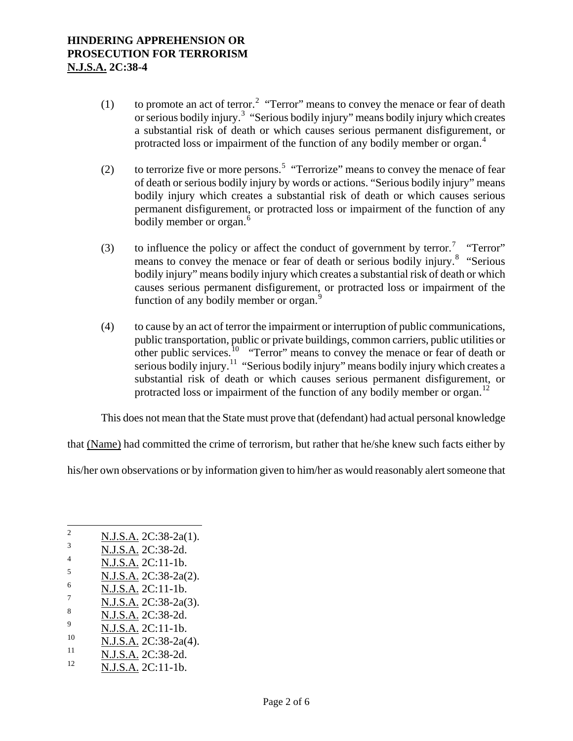- (1) to promote an act of terror.<sup>[2](#page-0-1)</sup> "Terror" means to convey the menace or fear of death or serious bodily injury.<sup>[3](#page-1-0)</sup> "Serious bodily injury" means bodily injury which creates a substantial risk of death or which causes serious permanent disfigurement, or protracted loss or impairment of the function of any bodily member or organ.<sup>[4](#page-1-1)</sup>
- (2) to terrorize five or more persons.<sup>[5](#page-1-2)</sup> "Terrorize" means to convey the menace of fear of death or serious bodily injury by words or actions. "Serious bodily injury" means bodily injury which creates a substantial risk of death or which causes serious permanent disfigurement, or protracted loss or impairment of the function of any bodily member or organ.<sup>[6](#page-1-3)</sup>
- (3) to influence the policy or affect the conduct of government by terror.<sup>[7](#page-1-4)</sup> "Terror" means to convey the menace or fear of death or serious bodily injury.<sup>[8](#page-1-5)</sup> "Serious bodily injury" means bodily injury which creates a substantial risk of death or which causes serious permanent disfigurement, or protracted loss or impairment of the function of any bodily member or organ.<sup>[9](#page-1-6)</sup>
- (4) to cause by an act of terror the impairment or interruption of public communications, public transportation, public or private buildings, common carriers, public utilities or other public services.<sup>[10](#page-1-7)</sup> "Terror" means to convey the menace or fear of death or serious bodily injury.<sup>[11](#page-1-8)</sup> "Serious bodily injury" means bodily injury which creates a substantial risk of death or which causes serious permanent disfigurement, or protracted loss or impairment of the function of any bodily member or organ.<sup>[12](#page-1-9)</sup>

This does not mean that the State must prove that (defendant) had actual personal knowledge

that (Name) had committed the crime of terrorism, but rather that he/she knew such facts either by

his/her own observations or by information given to him/her as would reasonably alert someone that

- <span id="page-1-7"></span> $\frac{10}{11}$  N.J.S.A. 2C:38-2a(4).
- <span id="page-1-8"></span> $\frac{11}{12}$  N.J.S.A. 2C:38-2d.
- <span id="page-1-9"></span>N.J.S.A. 2C:11-1b.

 $\sqrt{2}$  $\frac{2}{3}$  N.J.S.A. 2C:38-2a(1).

<span id="page-1-0"></span> $\frac{3}{4}$  N.J.S.A. 2C:38-2d.

<span id="page-1-1"></span> $\frac{4}{5}$  N.J.S.A. 2C:11-1b.

<span id="page-1-2"></span> $\frac{N.J.S.A.}{N.I.S.A.}$  2C:38-2a(2).

<span id="page-1-3"></span> $\frac{6}{7}$  N.J.S.A. 2C:11-1b.

<span id="page-1-4"></span> $\frac{7}{8}$  N.J.S.A. 2C:38-2a(3).

<span id="page-1-5"></span> $\frac{8}{9}$  N.J.S.A. 2C:38-2d.

<span id="page-1-6"></span> $\frac{9}{10}$  N.J.S.A. 2C:11-1b.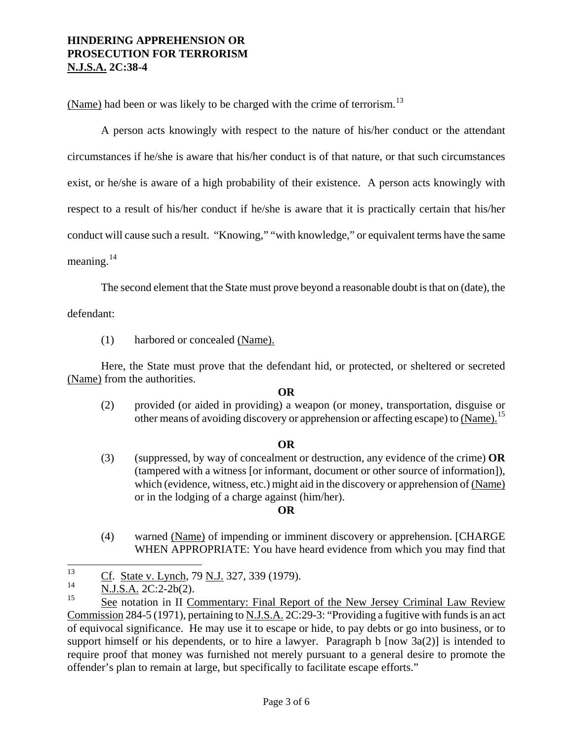(Name) had been or was likely to be charged with the crime of terrorism.<sup>[13](#page-1-2)</sup>

A person acts knowingly with respect to the nature of his/her conduct or the attendant circumstances if he/she is aware that his/her conduct is of that nature, or that such circumstances exist, or he/she is aware of a high probability of their existence. A person acts knowingly with respect to a result of his/her conduct if he/she is aware that it is practically certain that his/her conduct will cause such a result. "Knowing," "with knowledge," or equivalent terms have the same meaning. $^{14}$  $^{14}$  $^{14}$ 

The second element that the State must prove beyond a reasonable doubt is that on (date), the

defendant:

(1) harbored or concealed (Name).

Here, the State must prove that the defendant hid, or protected, or sheltered or secreted (Name) from the authorities.

#### **OR**

(2) provided (or aided in providing) a weapon (or money, transportation, disguise or other means of avoiding discovery or apprehension or affecting escape) to (Name).<sup>[15](#page-2-1)</sup>

### **OR**

(3) (suppressed, by way of concealment or destruction, any evidence of the crime) **OR** (tampered with a witness [or informant, document or other source of information]), which (evidence, witness, etc.) might aid in the discovery or apprehension of (Name) or in the lodging of a charge against (him/her).

### **OR**

(4) warned (Name) of impending or imminent discovery or apprehension. [CHARGE WHEN APPROPRIATE: You have heard evidence from which you may find that

<sup>13</sup>  $\frac{13}{14}$  Cf. State v. Lynch, 79 N.J. 327, 339 (1979).

<span id="page-2-0"></span> $\frac{14}{15}$  N.J.S.A. 2C:2-2b(2).

<span id="page-2-1"></span>See notation in II Commentary: Final Report of the New Jersey Criminal Law Review Commission 284-5 (1971), pertaining to N.J.S.A. 2C:29-3: "Providing a fugitive with funds is an act of equivocal significance. He may use it to escape or hide, to pay debts or go into business, or to support himself or his dependents, or to hire a lawyer. Paragraph b  $\lceil now 3a(2) \rceil$  is intended to require proof that money was furnished not merely pursuant to a general desire to promote the offender's plan to remain at large, but specifically to facilitate escape efforts."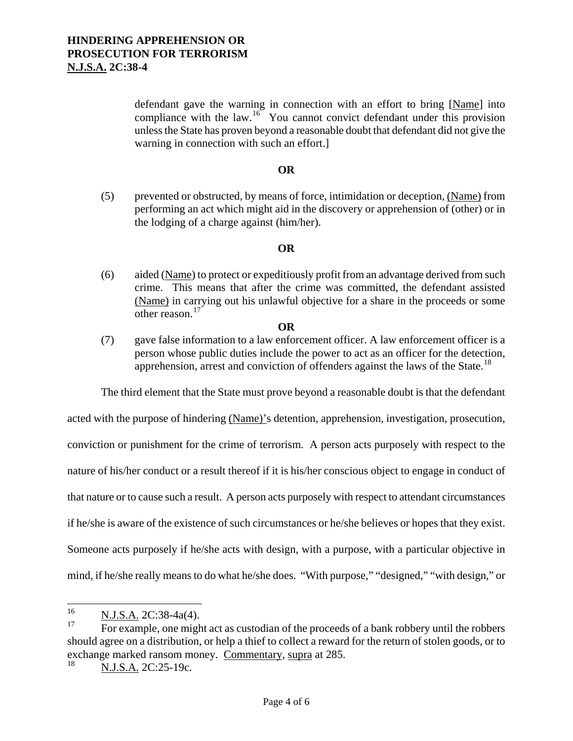defendant gave the warning in connection with an effort to bring [Name] into compliance with the law.<sup>16</sup> You cannot convict defendant under this provision unless the State has proven beyond a reasonable doubt that defendant did not give the warning in connection with such an effort.]

### **OR**

(5) prevented or obstructed, by means of force, intimidation or deception, (Name) from performing an act which might aid in the discovery or apprehension of (other) or in the lodging of a charge against (him/her).

### **OR**

(6) aided (Name) to protect or expeditiously profit from an advantage derived from such crime. This means that after the crime was committed, the defendant assisted (Name) in carrying out his unlawful objective for a share in the proceeds or some other reason.[17](#page-3-0)

#### **OR**

(7) gave false information to a law enforcement officer. A law enforcement officer is a person whose public duties include the power to act as an officer for the detection, apprehension, arrest and conviction of offenders against the laws of the State.<sup>[18](#page-3-1)</sup>

The third element that the State must prove beyond a reasonable doubt is that the defendant

acted with the purpose of hindering (Name)'s detention, apprehension, investigation, prosecution, conviction or punishment for the crime of terrorism. A person acts purposely with respect to the nature of his/her conduct or a result thereof if it is his/her conscious object to engage in conduct of that nature or to cause such a result. A person acts purposely with respect to attendant circumstances if he/she is aware of the existence of such circumstances or he/she believes or hopes that they exist. Someone acts purposely if he/she acts with design, with a purpose, with a particular objective in mind, if he/she really means to do what he/she does. "With purpose," "designed," "with design," or

<sup>16</sup>  $\frac{16}{17}$  N.J.S.A. 2C:38-4a(4).

<span id="page-3-0"></span>For example, one might act as custodian of the proceeds of a bank robbery until the robbers should agree on a distribution, or help a thief to collect a reward for the return of stolen goods, or to exchange marked ransom money. Commentary, supra at 285.<br> $^{18}$  N I S A 2C:25, 10e

<span id="page-3-2"></span><span id="page-3-1"></span>N.J.S.A. 2C:25-19c.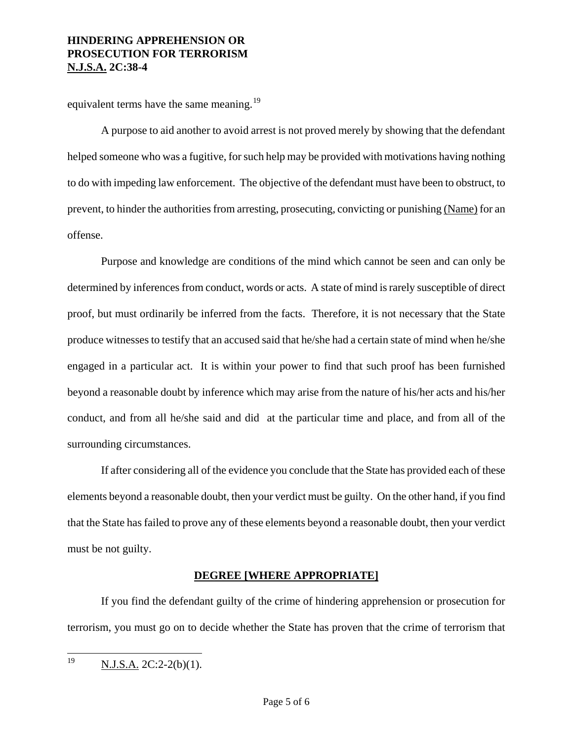equivalent terms have the same meaning.<sup>[19](#page-3-2)</sup>

A purpose to aid another to avoid arrest is not proved merely by showing that the defendant helped someone who was a fugitive, for such help may be provided with motivations having nothing to do with impeding law enforcement. The objective of the defendant must have been to obstruct, to prevent, to hinder the authorities from arresting, prosecuting, convicting or punishing (Name) for an offense.

Purpose and knowledge are conditions of the mind which cannot be seen and can only be determined by inferences from conduct, words or acts. A state of mind is rarely susceptible of direct proof, but must ordinarily be inferred from the facts. Therefore, it is not necessary that the State produce witnesses to testify that an accused said that he/she had a certain state of mind when he/she engaged in a particular act. It is within your power to find that such proof has been furnished beyond a reasonable doubt by inference which may arise from the nature of his/her acts and his/her conduct, and from all he/she said and did at the particular time and place, and from all of the surrounding circumstances.

If after considering all of the evidence you conclude that the State has provided each of these elements beyond a reasonable doubt, then your verdict must be guilty. On the other hand, if you find that the State has failed to prove any of these elements beyond a reasonable doubt, then your verdict must be not guilty.

### **DEGREE [WHERE APPROPRIATE]**

If you find the defendant guilty of the crime of hindering apprehension or prosecution for terrorism, you must go on to decide whether the State has proven that the crime of terrorism that

<span id="page-4-0"></span><sup>19</sup>  $N.J.S.A. 2C:2-2(b)(1).$